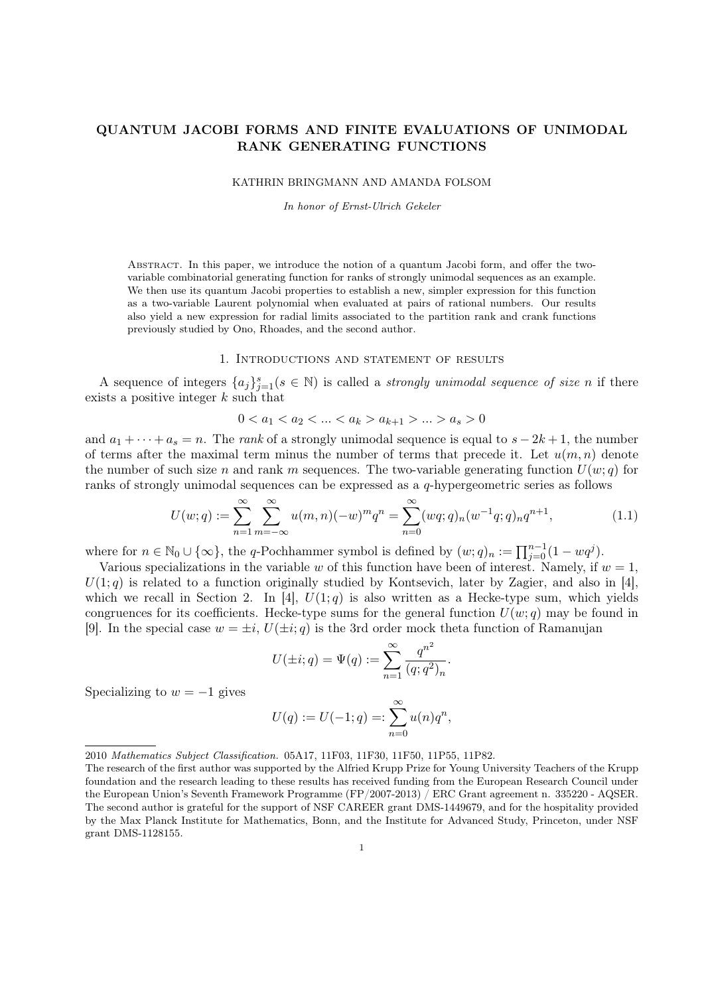# QUANTUM JACOBI FORMS AND FINITE EVALUATIONS OF UNIMODAL RANK GENERATING FUNCTIONS

KATHRIN BRINGMANN AND AMANDA FOLSOM

In honor of Ernst-Ulrich Gekeler

Abstract. In this paper, we introduce the notion of a quantum Jacobi form, and offer the twovariable combinatorial generating function for ranks of strongly unimodal sequences as an example. We then use its quantum Jacobi properties to establish a new, simpler expression for this function as a two-variable Laurent polynomial when evaluated at pairs of rational numbers. Our results also yield a new expression for radial limits associated to the partition rank and crank functions previously studied by Ono, Rhoades, and the second author.

## 1. Introductions and statement of results

A sequence of integers  $\{a_j\}_{j=1}^s (s \in \mathbb{N})$  is called a *strongly unimodal sequence of size n* if there exists a positive integer k such that

$$
0 < a_1 < a_2 < \dots < a_k > a_{k+1} > \dots > a_s > 0
$$

and  $a_1 + \cdots + a_s = n$ . The *rank* of a strongly unimodal sequence is equal to  $s - 2k + 1$ , the number of terms after the maximal term minus the number of terms that precede it. Let  $u(m, n)$  denote the number of such size n and rank m sequences. The two-variable generating function  $U(w; q)$  for ranks of strongly unimodal sequences can be expressed as a q-hypergeometric series as follows

$$
U(w;q) := \sum_{n=1}^{\infty} \sum_{m=-\infty}^{\infty} u(m,n)(-w)^m q^n = \sum_{n=0}^{\infty} (wq;q)_n (w^{-1}q;q)_n q^{n+1},
$$
\n(1.1)

where for  $n \in \mathbb{N}_0 \cup \{\infty\}$ , the q-Pochhammer symbol is defined by  $(w; q)_n := \prod_{j=0}^{n-1} (1 - wq^j)$ .

Various specializations in the variable w of this function have been of interest. Namely, if  $w = 1$ ,  $U(1;q)$  is related to a function originally studied by Kontsevich, later by Zagier, and also in [4], which we recall in Section 2. In [4],  $U(1; q)$  is also written as a Hecke-type sum, which yields congruences for its coefficients. Hecke-type sums for the general function  $U(w; q)$  may be found in [9]. In the special case  $w = \pm i$ ,  $U(\pm i; q)$  is the 3rd order mock theta function of Ramanujan

$$
U(\pm i; q) = \Psi(q) := \sum_{n=1}^{\infty} \frac{q^{n^2}}{(q; q^2)_n}.
$$

Specializing to  $w = -1$  gives

$$
U(q) := U(-1; q) =: \sum_{n=0}^{\infty} u(n)q^n,
$$

<sup>2010</sup> Mathematics Subject Classification. 05A17, 11F03, 11F30, 11F50, 11P55, 11P82.

The research of the first author was supported by the Alfried Krupp Prize for Young University Teachers of the Krupp foundation and the research leading to these results has received funding from the European Research Council under the European Union's Seventh Framework Programme (FP/2007-2013) / ERC Grant agreement n. 335220 - AQSER. The second author is grateful for the support of NSF CAREER grant DMS-1449679, and for the hospitality provided by the Max Planck Institute for Mathematics, Bonn, and the Institute for Advanced Study, Princeton, under NSF grant DMS-1128155.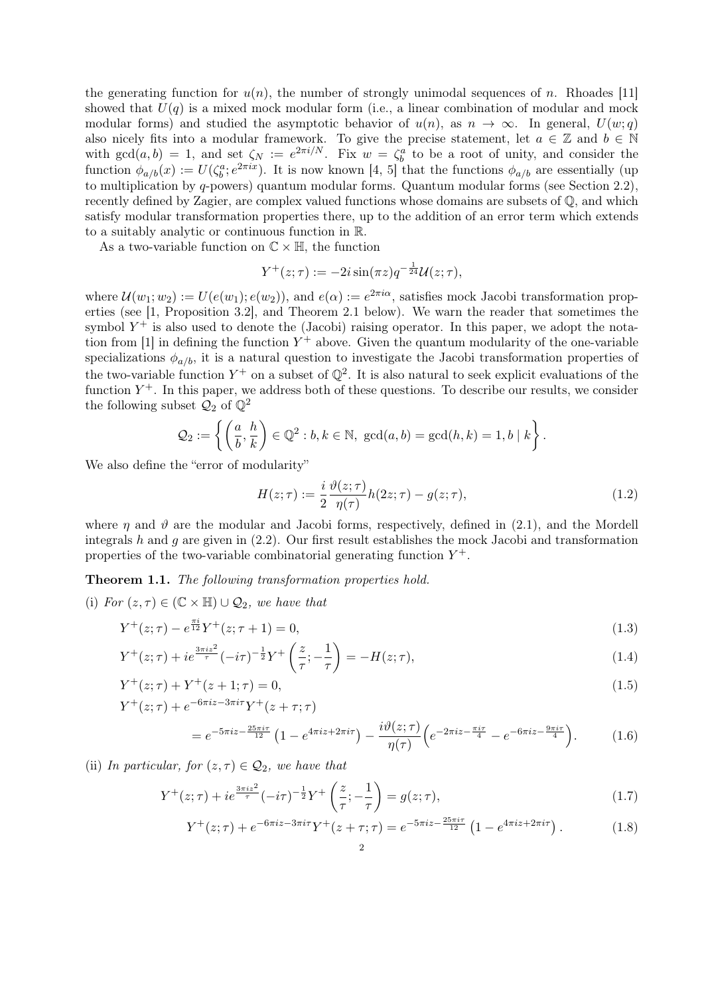the generating function for  $u(n)$ , the number of strongly unimodal sequences of n. Rhoades [11] showed that  $U(q)$  is a mixed mock modular form (i.e., a linear combination of modular and mock modular forms) and studied the asymptotic behavior of  $u(n)$ , as  $n \to \infty$ . In general,  $U(w; q)$ also nicely fits into a modular framework. To give the precise statement, let  $a \in \mathbb{Z}$  and  $b \in \mathbb{N}$ with  $gcd(a, b) = 1$ , and set  $\zeta_N := e^{2\pi i/N}$ . Fix  $w = \zeta_b^a$  to be a root of unity, and consider the function  $\phi_{a/b}(x) := U(\zeta_b^a; e^{2\pi ix})$ . It is now known [4, 5] that the functions  $\phi_{a/b}$  are essentially (up to multiplication by  $q$ -powers) quantum modular forms. Quantum modular forms (see Section 2.2), recently defined by Zagier, are complex valued functions whose domains are subsets of Q, and which satisfy modular transformation properties there, up to the addition of an error term which extends to a suitably analytic or continuous function in R.

As a two-variable function on  $\mathbb{C} \times \mathbb{H}$ , the function

$$
Y^+(z;\tau) := -2i\sin(\pi z)q^{-\frac{1}{24}}\mathcal{U}(z;\tau),
$$

where  $\mathcal{U}(w_1; w_2) := U(e(w_1); e(w_2))$ , and  $e(\alpha) := e^{2\pi i \alpha}$ , satisfies mock Jacobi transformation properties (see [1, Proposition 3.2], and Theorem 2.1 below). We warn the reader that sometimes the symbol  $Y^+$  is also used to denote the (Jacobi) raising operator. In this paper, we adopt the notation from [1] in defining the function  $Y^+$  above. Given the quantum modularity of the one-variable specializations  $\phi_{a/b}$ , it is a natural question to investigate the Jacobi transformation properties of the two-variable function  $Y^+$  on a subset of  $\mathbb{Q}^2$ . It is also natural to seek explicit evaluations of the function  $Y^+$ . In this paper, we address both of these questions. To describe our results, we consider the following subset  $\mathcal{Q}_2$  of  $\mathbb{Q}^2$ 

$$
Q_2 := \left\{ \left( \frac{a}{b}, \frac{h}{k} \right) \in \mathbb{Q}^2 : b, k \in \mathbb{N}, \ \gcd(a, b) = \gcd(h, k) = 1, b \mid k \right\}.
$$

We also define the "error of modularity"

$$
H(z;\tau) := \frac{i}{2} \frac{\vartheta(z;\tau)}{\eta(\tau)} h(2z;\tau) - g(z;\tau),\tag{1.2}
$$

where  $\eta$  and  $\vartheta$  are the modular and Jacobi forms, respectively, defined in (2.1), and the Mordell integrals h and g are given in  $(2.2)$ . Our first result establishes the mock Jacobi and transformation properties of the two-variable combinatorial generating function  $Y^+$ .

Theorem 1.1. The following transformation properties hold.

(i) For  $(z, \tau) \in (\mathbb{C} \times \mathbb{H}) \cup \mathcal{Q}_2$ , we have that

$$
Y^{+}(z;\tau) - e^{\frac{\pi i}{12}} Y^{+}(z;\tau+1) = 0,
$$
\n(1.3)

$$
Y^{+}(z;\tau) + ie^{\frac{3\pi iz^{2}}{\tau}}(-i\tau)^{-\frac{1}{2}}Y^{+}\left(\frac{z}{\tau};-\frac{1}{\tau}\right) = -H(z;\tau),
$$
\n(1.4)

$$
Y^{+}(z;\tau) + Y^{+}(z+1;\tau) = 0,
$$
\n(1.5)

$$
Y^{+}(z;\tau) + e^{-6\pi i z - 3\pi i \tau} Y^{+}(z+\tau;\tau)
$$

$$
=e^{-5\pi i z - \frac{25\pi i \tau}{12}} \left(1 - e^{4\pi i z + 2\pi i \tau}\right) - \frac{i\vartheta(z;\tau)}{\eta(\tau)} \left(e^{-2\pi i z - \frac{\pi i \tau}{4}} - e^{-6\pi i z - \frac{9\pi i \tau}{4}}\right). \tag{1.6}
$$

(ii) In particular, for  $(z, \tau) \in \mathcal{Q}_2$ , we have that

$$
Y^{+}(z;\tau) + ie^{\frac{3\pi iz^{2}}{\tau}}(-i\tau)^{-\frac{1}{2}}Y^{+}\left(\frac{z}{\tau};-\frac{1}{\tau}\right) = g(z;\tau),
$$
\n(1.7)

$$
Y^{+}(z;\tau) + e^{-6\pi i z - 3\pi i \tau} Y^{+}(z+\tau;\tau) = e^{-5\pi i z - \frac{25\pi i \tau}{12}} \left(1 - e^{4\pi i z + 2\pi i \tau}\right). \tag{1.8}
$$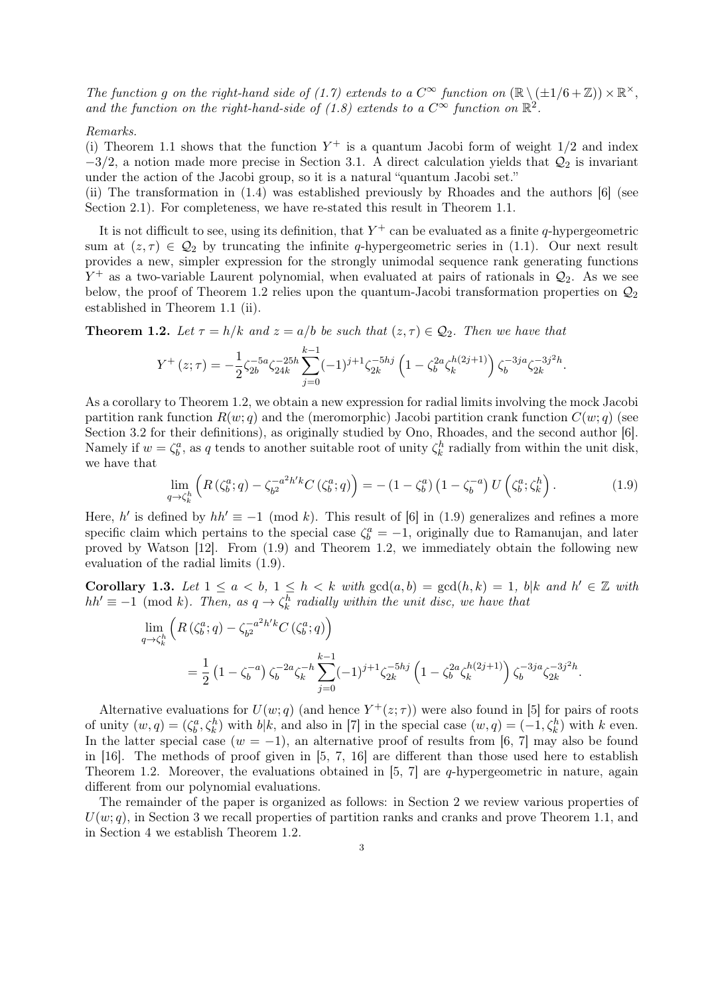The function g on the right-hand side of (1.7) extends to a  $C^{\infty}$  function on  $(\mathbb{R} \setminus (\pm 1/6 + \mathbb{Z})) \times \mathbb{R}^{\times}$ , and the function on the right-hand-side of (1.8) extends to a  $C^{\infty}$  function on  $\mathbb{R}^2$ .

Remarks.

(i) Theorem 1.1 shows that the function  $Y^+$  is a quantum Jacobi form of weight  $1/2$  and index  $-3/2$ , a notion made more precise in Section 3.1. A direct calculation yields that  $\mathcal{Q}_2$  is invariant under the action of the Jacobi group, so it is a natural "quantum Jacobi set."

(ii) The transformation in (1.4) was established previously by Rhoades and the authors [6] (see Section 2.1). For completeness, we have re-stated this result in Theorem 1.1.

It is not difficult to see, using its definition, that  $Y^+$  can be evaluated as a finite q-hypergeometric sum at  $(z, \tau) \in \mathcal{Q}_2$  by truncating the infinite q-hypergeometric series in (1.1). Our next result provides a new, simpler expression for the strongly unimodal sequence rank generating functions  $Y^+$  as a two-variable Laurent polynomial, when evaluated at pairs of rationals in  $\mathcal{Q}_2$ . As we see below, the proof of Theorem 1.2 relies upon the quantum-Jacobi transformation properties on  $\mathcal{Q}_2$ established in Theorem 1.1 (ii).

**Theorem 1.2.** Let  $\tau = h/k$  and  $z = a/b$  be such that  $(z, \tau) \in \mathcal{Q}_2$ . Then we have that

$$
Y^+(z;\tau) = -\frac{1}{2}\zeta_{2b}^{-5a}\zeta_{24k}^{-25h}\sum_{j=0}^{k-1}(-1)^{j+1}\zeta_{2k}^{-5hj}\left(1-\zeta_b^{2a}\zeta_k^{h(2j+1)}\right)\zeta_b^{-3ja}\zeta_{2k}^{-3j^2h}.
$$

As a corollary to Theorem 1.2, we obtain a new expression for radial limits involving the mock Jacobi partition rank function  $R(w; q)$  and the (meromorphic) Jacobi partition crank function  $C(w; q)$  (see Section 3.2 for their definitions), as originally studied by Ono, Rhoades, and the second author [6]. Namely if  $w = \zeta_b^a$ , as q tends to another suitable root of unity  $\zeta_k^h$  radially from within the unit disk, we have that

$$
\lim_{q \to \zeta_b^h} \left( R\left(\zeta_b^a; q\right) - \zeta_b^{-a^2 h' k} C\left(\zeta_b^a; q\right) \right) = -\left(1 - \zeta_b^a\right) \left(1 - \zeta_b^{-a}\right) U\left(\zeta_b^a; \zeta_k^h\right). \tag{1.9}
$$

Here, h' is defined by  $hh' \equiv -1 \pmod{k}$ . This result of [6] in (1.9) generalizes and refines a more specific claim which pertains to the special case  $\zeta_b^a = -1$ , originally due to Ramanujan, and later proved by Watson [12]. From (1.9) and Theorem 1.2, we immediately obtain the following new evaluation of the radial limits (1.9).

Corollary 1.3. Let  $1 \le a < b$ ,  $1 \le h < k$  with  $gcd(a, b) = gcd(h, k) = 1$ ,  $b|k$  and  $h' \in \mathbb{Z}$  with  $hh' \equiv -1 \pmod{k}$ . Then, as  $q \to \zeta_k^h$  radially within the unit disc, we have that

$$
\lim_{q \to \zeta_k^h} \left( R(\zeta_b^a; q) - \zeta_b^{-a^2 h' k} C(\zeta_b^a; q) \right)
$$
\n
$$
= \frac{1}{2} \left( 1 - \zeta_b^{-a} \right) \zeta_b^{-2a} \zeta_k^{-h} \sum_{j=0}^{k-1} (-1)^{j+1} \zeta_{2k}^{-5hj} \left( 1 - \zeta_b^{2a} \zeta_k^{h(2j+1)} \right) \zeta_b^{-3ja} \zeta_{2k}^{-3j^2h}.
$$

Alternative evaluations for  $U(w; q)$  (and hence  $Y^+(z; \tau)$ ) were also found in [5] for pairs of roots of unity  $(w, q) = (\zeta_b^a, \zeta_k^b)$  with  $b|k$ , and also in [7] in the special case  $(w, q) = (-1, \zeta_k^h)$  with k even. In the latter special case  $(w = -1)$ , an alternative proof of results from [6, 7] may also be found in [16]. The methods of proof given in [5, 7, 16] are different than those used here to establish Theorem 1.2. Moreover, the evaluations obtained in  $[5, 7]$  are *q*-hypergeometric in nature, again different from our polynomial evaluations.

The remainder of the paper is organized as follows: in Section 2 we review various properties of  $U(w; q)$ , in Section 3 we recall properties of partition ranks and cranks and prove Theorem 1.1, and in Section 4 we establish Theorem 1.2.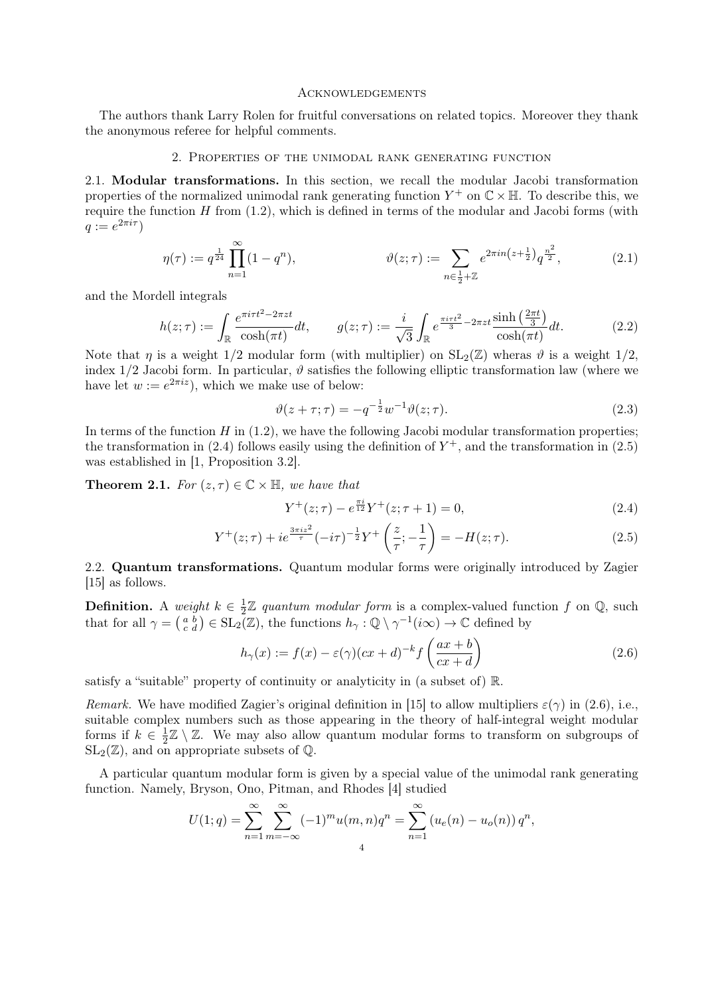#### **ACKNOWLEDGEMENTS**

The authors thank Larry Rolen for fruitful conversations on related topics. Moreover they thank the anonymous referee for helpful comments.

#### 2. Properties of the unimodal rank generating function

2.1. Modular transformations. In this section, we recall the modular Jacobi transformation properties of the normalized unimodal rank generating function  $Y^+$  on  $\mathbb{C} \times \mathbb{H}$ . To describe this, we require the function  $H$  from  $(1.2)$ , which is defined in terms of the modular and Jacobi forms (with  $q := e^{2\pi i \tau}$ 

$$
\eta(\tau) := q^{\frac{1}{24}} \prod_{n=1}^{\infty} (1 - q^n), \qquad \qquad \vartheta(z; \tau) := \sum_{n \in \frac{1}{2} + \mathbb{Z}} e^{2\pi i n \left(z + \frac{1}{2}\right)} q^{\frac{n^2}{2}}, \qquad (2.1)
$$

and the Mordell integrals

$$
h(z;\tau) := \int_{\mathbb{R}} \frac{e^{\pi i \tau t^2 - 2\pi z t}}{\cosh(\pi t)} dt, \qquad g(z;\tau) := \frac{i}{\sqrt{3}} \int_{\mathbb{R}} e^{\frac{\pi i \tau t^2}{3} - 2\pi z t} \frac{\sinh\left(\frac{2\pi t}{3}\right)}{\cosh(\pi t)} dt. \tag{2.2}
$$

Note that  $\eta$  is a weight 1/2 modular form (with multiplier) on  $SL_2(\mathbb{Z})$  wheras  $\vartheta$  is a weight 1/2, index  $1/2$  Jacobi form. In particular,  $\vartheta$  satisfies the following elliptic transformation law (where we have let  $w := e^{2\pi i z}$ , which we make use of below:

$$
\vartheta(z+\tau;\tau) = -q^{-\frac{1}{2}}w^{-1}\vartheta(z;\tau).
$$
\n(2.3)

In terms of the function  $H$  in  $(1.2)$ , we have the following Jacobi modular transformation properties; the transformation in  $(2.4)$  follows easily using the definition of  $Y^+$ , and the transformation in  $(2.5)$ was established in [1, Proposition 3.2].

**Theorem 2.1.** For  $(z, \tau) \in \mathbb{C} \times \mathbb{H}$ , we have that

$$
Y^{+}(z;\tau) - e^{\frac{\pi i}{12}} Y^{+}(z;\tau+1) = 0,
$$
\n(2.4)

$$
Y^{+}(z;\tau) + ie^{\frac{3\pi iz^{2}}{\tau}}(-i\tau)^{-\frac{1}{2}}Y^{+}\left(\frac{z}{\tau};-\frac{1}{\tau}\right) = -H(z;\tau).
$$
 (2.5)

2.2. Quantum transformations. Quantum modular forms were originally introduced by Zagier [15] as follows.

**Definition.** A weight  $k \in \frac{1}{2}$  $\frac{1}{2}\mathbb{Z}$  quantum modular form is a complex-valued function f on  $\mathbb{Q}$ , such that for all  $\gamma = \begin{pmatrix} a & b \\ c & d \end{pmatrix} \in SL_2(\mathbb{Z})$ , the functions  $h_\gamma : \mathbb{Q} \setminus \gamma^{-1}(i\infty) \to \mathbb{C}$  defined by

$$
h_{\gamma}(x) := f(x) - \varepsilon(\gamma)(cx + d)^{-k} f\left(\frac{ax + b}{cx + d}\right)
$$
\n(2.6)

satisfy a "suitable" property of continuity or analyticity in (a subset of) R.

Remark. We have modified Zagier's original definition in [15] to allow multipliers  $\varepsilon(\gamma)$  in (2.6), i.e., suitable complex numbers such as those appearing in the theory of half-integral weight modular forms if  $k \in \frac{1}{2}$  $\frac{1}{2}\mathbb{Z}\setminus\mathbb{Z}$ . We may also allow quantum modular forms to transform on subgroups of  $SL_2(\mathbb{Z})$ , and on appropriate subsets of  $\mathbb{Q}$ .

A particular quantum modular form is given by a special value of the unimodal rank generating function. Namely, Bryson, Ono, Pitman, and Rhodes [4] studied

$$
U(1;q) = \sum_{n=1}^{\infty} \sum_{m=-\infty}^{\infty} (-1)^m u(m,n) q^n = \sum_{n=1}^{\infty} (u_e(n) - u_o(n)) q^n,
$$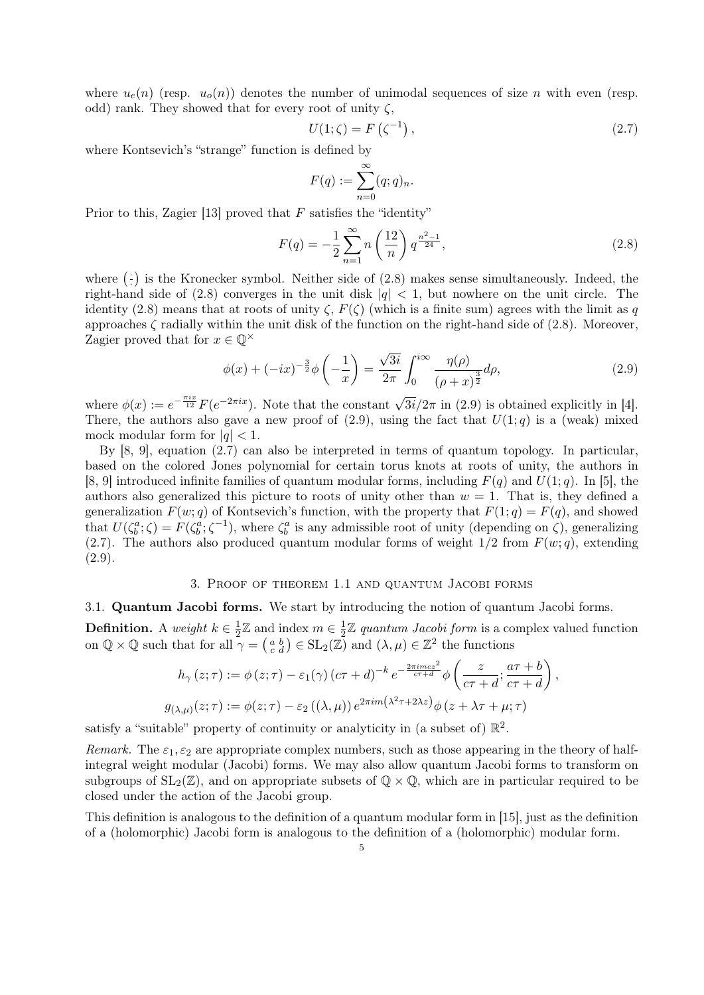where  $u_e(n)$  (resp.  $u_o(n)$ ) denotes the number of unimodal sequences of size n with even (resp. odd) rank. They showed that for every root of unity  $\zeta$ ,

$$
U(1; \zeta) = F\left(\zeta^{-1}\right),\tag{2.7}
$$

where Kontsevich's "strange" function is defined by

$$
F(q) := \sum_{n=0}^{\infty} (q;q)_n.
$$

Prior to this, Zagier [13] proved that  $F$  satisfies the "identity"

$$
F(q) = -\frac{1}{2} \sum_{n=1}^{\infty} n \left(\frac{12}{n}\right) q^{\frac{n^2-1}{24}},\tag{2.8}
$$

where  $(\frac{1}{\cdot})$ · is the Kronecker symbol. Neither side of (2.8) makes sense simultaneously. Indeed, the right-hand side of  $(2.8)$  converges in the unit disk  $|q| < 1$ , but nowhere on the unit circle. The identity (2.8) means that at roots of unity  $\zeta$ ,  $F(\zeta)$  (which is a finite sum) agrees with the limit as q approaches  $\zeta$  radially within the unit disk of the function on the right-hand side of (2.8). Moreover, Zagier proved that for  $x \in \mathbb{Q}^{\times}$ 

$$
\phi(x) + (-ix)^{-\frac{3}{2}}\phi\left(-\frac{1}{x}\right) = \frac{\sqrt{3i}}{2\pi} \int_0^{i\infty} \frac{\eta(\rho)}{(\rho+x)^{\frac{3}{2}}} d\rho,\tag{2.9}
$$

where  $\phi(x) := e^{-\frac{\pi i x}{12}} F(e^{-2\pi i x})$ . Note that the constant  $\sqrt{3i}/2\pi$  in (2.9) is obtained explicitly in [4]. There, the authors also gave a new proof of  $(2.9)$ , using the fact that  $U(1; q)$  is a (weak) mixed mock modular form for  $|q|$  < 1.

By [8, 9], equation (2.7) can also be interpreted in terms of quantum topology. In particular, based on the colored Jones polynomial for certain torus knots at roots of unity, the authors in [8, 9] introduced infinite families of quantum modular forms, including  $F(q)$  and  $U(1; q)$ . In [5], the authors also generalized this picture to roots of unity other than  $w = 1$ . That is, they defined a generalization  $F(w; q)$  of Kontsevich's function, with the property that  $F(1; q) = F(q)$ , and showed that  $U(\zeta_b^a;\zeta) = F(\zeta_b^a;\zeta^{-1})$ , where  $\zeta_b^a$  is any admissible root of unity (depending on  $\zeta$ ), generalizing (2.7). The authors also produced quantum modular forms of weight  $1/2$  from  $F(w; q)$ , extending  $(2.9).$ 

## 3. Proof of theorem 1.1 and quantum Jacobi forms

3.1. Quantum Jacobi forms. We start by introducing the notion of quantum Jacobi forms. **Definition.** A weight  $k \in \frac{1}{2}$  $\frac{1}{2}\mathbb{Z}$  and index  $m \in \frac{1}{2}$  $\frac{1}{2}\mathbb{Z}$  quantum Jacobi form is a complex valued function

on  $\mathbb{Q} \times \mathbb{Q}$  such that for all  $\gamma = \begin{pmatrix} a & b \\ c & d \end{pmatrix} \in SL_2(\mathbb{Z})$  and  $(\lambda, \mu) \in \mathbb{Z}^2$  the functions

$$
h_{\gamma}(z;\tau) := \phi(z;\tau) - \varepsilon_1(\gamma) (c\tau + d)^{-k} e^{-\frac{2\pi imcz^2}{c\tau + d}} \phi\left(\frac{z}{c\tau + d}; \frac{a\tau + b}{c\tau + d}\right),
$$
  

$$
g_{(\lambda,\mu)}(z;\tau) := \phi(z;\tau) - \varepsilon_2((\lambda,\mu)) e^{2\pi im(\lambda^2 \tau + 2\lambda z)} \phi(z + \lambda \tau + \mu; \tau)
$$

satisfy a "suitable" property of continuity or analyticity in (a subset of)  $\mathbb{R}^2$ .

Remark. The  $\varepsilon_1, \varepsilon_2$  are appropriate complex numbers, such as those appearing in the theory of halfintegral weight modular (Jacobi) forms. We may also allow quantum Jacobi forms to transform on subgroups of  $SL_2(\mathbb{Z})$ , and on appropriate subsets of  $\mathbb{Q} \times \mathbb{Q}$ , which are in particular required to be closed under the action of the Jacobi group.

This definition is analogous to the definition of a quantum modular form in [15], just as the definition of a (holomorphic) Jacobi form is analogous to the definition of a (holomorphic) modular form.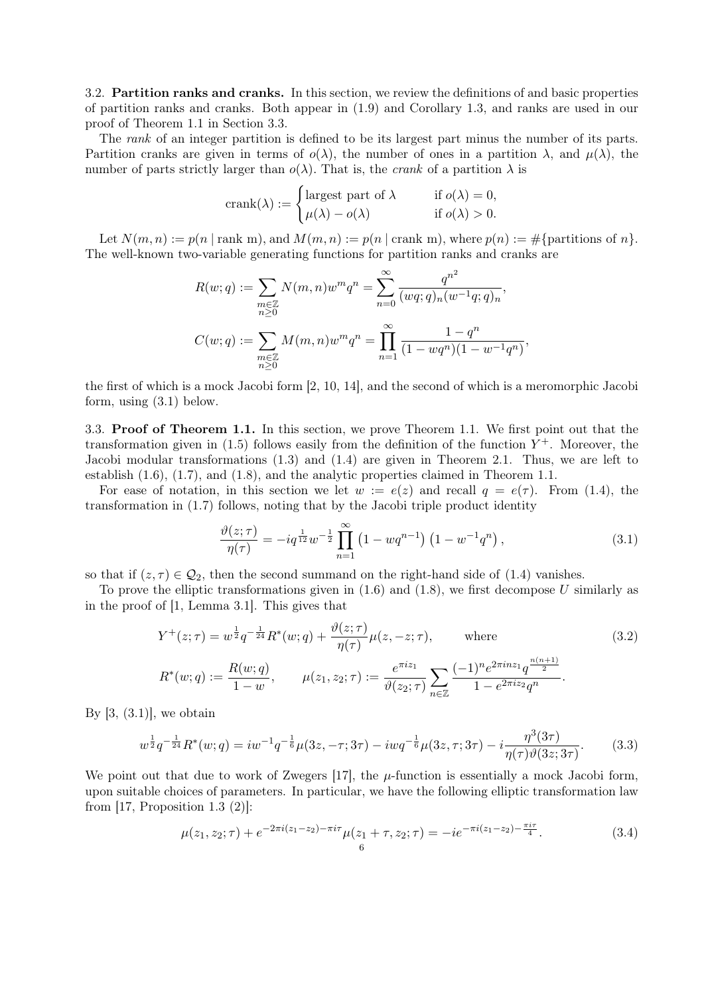3.2. Partition ranks and cranks. In this section, we review the definitions of and basic properties of partition ranks and cranks. Both appear in (1.9) and Corollary 1.3, and ranks are used in our proof of Theorem 1.1 in Section 3.3.

The rank of an integer partition is defined to be its largest part minus the number of its parts. Partition cranks are given in terms of  $o(\lambda)$ , the number of ones in a partition  $\lambda$ , and  $\mu(\lambda)$ , the number of parts strictly larger than  $o(\lambda)$ . That is, the *crank* of a partition  $\lambda$  is

$$
\text{crank}(\lambda) := \begin{cases} \text{largest part of } \lambda & \text{if } o(\lambda) = 0, \\ \mu(\lambda) - o(\lambda) & \text{if } o(\lambda) > 0. \end{cases}
$$

Let  $N(m, n) := p(n \mid \text{rank } m)$ , and  $M(m, n) := p(n \mid \text{crank } m)$ , where  $p(n) := \#\{\text{partitions of } n\}$ . The well-known two-variable generating functions for partition ranks and cranks are

$$
R(w;q) := \sum_{\substack{m \in \mathbb{Z} \\ n \ge 0}} N(m,n)w^m q^n = \sum_{n=0}^{\infty} \frac{q^{n^2}}{(wq;q)_n(w^{-1}q;q)_n},
$$
  

$$
C(w;q) := \sum_{\substack{m \in \mathbb{Z} \\ n \ge 0}} M(m,n)w^m q^n = \prod_{n=1}^{\infty} \frac{1-q^n}{(1-wq^n)(1-w^{-1}q^n)},
$$

the first of which is a mock Jacobi form [2, 10, 14], and the second of which is a meromorphic Jacobi form, using (3.1) below.

3.3. Proof of Theorem 1.1. In this section, we prove Theorem 1.1. We first point out that the transformation given in  $(1.5)$  follows easily from the definition of the function  $Y^+$ . Moreover, the Jacobi modular transformations (1.3) and (1.4) are given in Theorem 2.1. Thus, we are left to establish  $(1.6)$ ,  $(1.7)$ , and  $(1.8)$ , and the analytic properties claimed in Theorem 1.1.

For ease of notation, in this section we let  $w := e(z)$  and recall  $q = e(\tau)$ . From (1.4), the transformation in (1.7) follows, noting that by the Jacobi triple product identity

$$
\frac{\vartheta(z;\tau)}{\eta(\tau)} = -iq^{\frac{1}{12}}w^{-\frac{1}{2}}\prod_{n=1}^{\infty} \left(1 - wq^{n-1}\right)\left(1 - w^{-1}q^n\right),\tag{3.1}
$$

so that if  $(z, \tau) \in \mathcal{Q}_2$ , then the second summand on the right-hand side of (1.4) vanishes.

To prove the elliptic transformations given in  $(1.6)$  and  $(1.8)$ , we first decompose U similarly as in the proof of [1, Lemma 3.1]. This gives that

$$
Y^{+}(z;\tau) = w^{\frac{1}{2}}q^{-\frac{1}{24}}R^{*}(w;q) + \frac{\vartheta(z;\tau)}{\eta(\tau)}\mu(z,-z;\tau), \quad \text{where}
$$
\n
$$
R^{*}(w;q) := \frac{R(w;q)}{1-w}, \quad \mu(z_{1},z_{2};\tau) := \frac{e^{\pi iz_{1}}}{\vartheta(z_{2};\tau)}\sum_{n\in\mathbb{Z}}\frac{(-1)^{n}e^{2\pi inz_{1}}q^{\frac{n(n+1)}{2}}}{1-e^{2\pi iz_{2}}q^{n}}.
$$
\n(3.2)

By  $[3, (3.1)]$ , we obtain

$$
w^{\frac{1}{2}}q^{-\frac{1}{24}}R^*(w;q) = iw^{-1}q^{-\frac{1}{6}}\mu(3z,-\tau;3\tau) - iwq^{-\frac{1}{6}}\mu(3z,\tau;3\tau) - i\frac{\eta^3(3\tau)}{\eta(\tau)\vartheta(3z;3\tau)}.
$$
(3.3)

We point out that due to work of Zwegers [17], the  $\mu$ -function is essentially a mock Jacobi form, upon suitable choices of parameters. In particular, we have the following elliptic transformation law from [17, Proposition 1.3 (2)]:

$$
\mu(z_1, z_2; \tau) + e^{-2\pi i (z_1 - z_2) - \pi i \tau} \mu(z_1 + \tau, z_2; \tau) = -ie^{-\pi i (z_1 - z_2) - \frac{\pi i \tau}{4}}.
$$
\n(3.4)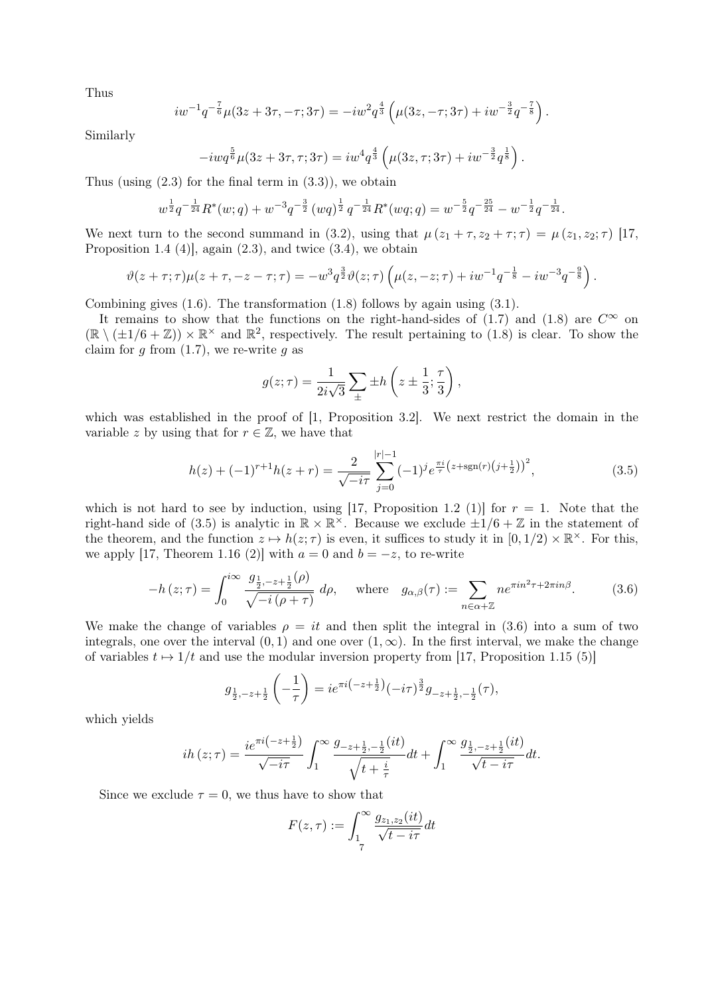Thus

$$
iw^{-1}q^{-\frac{7}{6}}\mu(3z+3\tau, -\tau; 3\tau) = -iw^2q^{\frac{4}{3}}\left(\mu(3z, -\tau; 3\tau) + iw^{-\frac{3}{2}}q^{-\frac{7}{8}}\right).
$$

Similarly

$$
-iwq^{\frac{5}{6}}\mu(3z+3\tau,\tau;3\tau) = iw^4q^{\frac{4}{3}}\left(\mu(3z,\tau;3\tau) + iw^{-\frac{3}{2}}q^{\frac{1}{8}}\right).
$$

Thus (using  $(2.3)$  for the final term in  $(3.3)$ ), we obtain

$$
w^{\frac{1}{2}}q^{-\frac{1}{24}}R^*(w;q) + w^{-3}q^{-\frac{3}{2}}(wq)^{\frac{1}{2}}q^{-\frac{1}{24}}R^*(wq;q) = w^{-\frac{5}{2}}q^{-\frac{25}{24}} - w^{-\frac{1}{2}}q^{-\frac{1}{24}}.
$$

We next turn to the second summand in (3.2), using that  $\mu(z_1 + \tau, z_2 + \tau; \tau) = \mu(z_1, z_2; \tau)$  [17, Proposition 1.4 (4)], again  $(2.3)$ , and twice  $(3.4)$ , we obtain

$$
\vartheta(z+\tau;\tau)\mu(z+\tau,-z-\tau;\tau) = -w^3 q^{\frac{3}{2}} \vartheta(z;\tau) \left( \mu(z,-z;\tau) + iw^{-1} q^{-\frac{1}{8}} - iw^{-3} q^{-\frac{9}{8}} \right).
$$

Combining gives  $(1.6)$ . The transformation  $(1.8)$  follows by again using  $(3.1)$ .

 $\lambda$ 

It remains to show that the functions on the right-hand-sides of (1.7) and (1.8) are  $C^{\infty}$  on  $(\mathbb{R} \setminus (\pm 1/6 + \mathbb{Z})) \times \mathbb{R}^{\times}$  and  $\mathbb{R}^{2}$ , respectively. The result pertaining to (1.8) is clear. To show the claim for g from  $(1.7)$ , we re-write g as

$$
g(z;\tau) = \frac{1}{2i\sqrt{3}}\sum_{\pm} \pm h\left(z \pm \frac{1}{3}; \frac{\tau}{3}\right),\,
$$

which was established in the proof of [1, Proposition 3.2]. We next restrict the domain in the variable z by using that for  $r \in \mathbb{Z}$ , we have that

$$
h(z) + (-1)^{r+1}h(z+r) = \frac{2}{\sqrt{-i\tau}} \sum_{j=0}^{|r|-1} (-1)^j e^{\frac{\pi i}{\tau} (z + \text{sgn}(r)(j + \frac{1}{2}))^2}, \tag{3.5}
$$

which is not hard to see by induction, using [17, Proposition 1.2 (1)] for  $r = 1$ . Note that the right-hand side of (3.5) is analytic in  $\mathbb{R} \times \mathbb{R}^{\times}$ . Because we exclude  $\pm 1/6 + \mathbb{Z}$  in the statement of the theorem, and the function  $z \mapsto h(z; \tau)$  is even, it suffices to study it in  $[0, 1/2) \times \mathbb{R}^{\times}$ . For this, we apply [17, Theorem 1.16 (2)] with  $a = 0$  and  $b = -z$ , to re-write

$$
-h(z;\tau) = \int_0^{i\infty} \frac{g_{\frac{1}{2},-z+\frac{1}{2}}(\rho)}{\sqrt{-i(\rho+\tau)}} d\rho, \quad \text{where} \quad g_{\alpha,\beta}(\tau) := \sum_{n\in\alpha+\mathbb{Z}} n e^{\pi i n^2 \tau + 2\pi i n \beta}.
$$
 (3.6)

We make the change of variables  $\rho = it$  and then split the integral in (3.6) into a sum of two integrals, one over the interval  $(0, 1)$  and one over  $(1, \infty)$ . In the first interval, we make the change of variables  $t \mapsto 1/t$  and use the modular inversion property from [17, Proposition 1.15 (5)]

$$
g_{\frac{1}{2},-z+\frac{1}{2}}\left(-\frac{1}{\tau}\right) = ie^{\pi i\left(-z+\frac{1}{2}\right)}(-i\tau)^{\frac{3}{2}}g_{-z+\frac{1}{2},-\frac{1}{2}}(\tau),
$$

which yields

$$
ih(z;\tau) = \frac{ie^{\pi i \left(-z+\frac{1}{2}\right)}}{\sqrt{-i\tau}} \int_1^{\infty} \frac{g_{-z+\frac{1}{2},-\frac{1}{2}}(it)}{\sqrt{t+\frac{i}{\tau}}} dt + \int_1^{\infty} \frac{g_{\frac{1}{2},-z+\frac{1}{2}}(it)}{\sqrt{t-i\tau}} dt.
$$

Since we exclude  $\tau = 0$ , we thus have to show that

$$
F(z,\tau) := \int_{1}^{\infty} \frac{g_{z_1,z_2}(it)}{\sqrt{t - i\tau}} dt
$$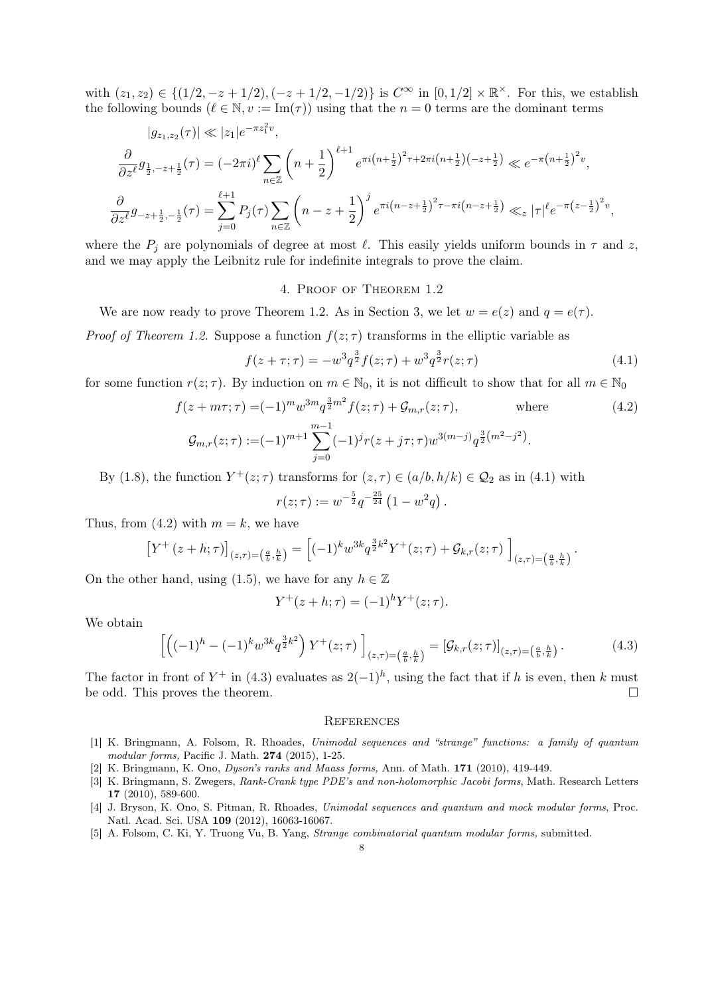with  $(z_1, z_2) \in \{(1/2, -z + 1/2), (-z + 1/2, -1/2)\}\$ is  $C^{\infty}$  in  $[0, 1/2] \times \mathbb{R}^{\times}$ . For this, we establish the following bounds  $(\ell \in \mathbb{N}, v := \text{Im}(\tau))$  using that the  $n = 0$  terms are the dominant terms

$$
|g_{z_1,z_2}(\tau)| \ll |z_1|e^{-\pi z_1^2 v},
$$
  
\n
$$
\frac{\partial}{\partial z^{\ell}}g_{\frac{1}{2},-z+\frac{1}{2}}(\tau) = (-2\pi i)^{\ell} \sum_{n \in \mathbb{Z}} \left(n + \frac{1}{2}\right)^{\ell+1} e^{\pi i (n + \frac{1}{2})^2 \tau + 2\pi i (n + \frac{1}{2})(-z+\frac{1}{2})} \ll e^{-\pi (n + \frac{1}{2})^2 v},
$$
  
\n
$$
\frac{\partial}{\partial z^{\ell}}g_{-z+\frac{1}{2},-\frac{1}{2}}(\tau) = \sum_{j=0}^{\ell+1} P_j(\tau) \sum_{n \in \mathbb{Z}} \left(n - z + \frac{1}{2}\right)^j e^{\pi i (n - z+\frac{1}{2})^2 \tau - \pi i (n - z+\frac{1}{2})} \ll_z |\tau|^{\ell} e^{-\pi (z-\frac{1}{2})^2 v},
$$

where the  $P_j$  are polynomials of degree at most  $\ell$ . This easily yields uniform bounds in  $\tau$  and z, and we may apply the Leibnitz rule for indefinite integrals to prove the claim.

### 4. Proof of Theorem 1.2

We are now ready to prove Theorem 1.2. As in Section 3, we let  $w = e(z)$  and  $q = e(\tau)$ .

*Proof of Theorem 1.2.* Suppose a function  $f(z;\tau)$  transforms in the elliptic variable as

$$
f(z+\tau;\tau) = -w^3 q^{\frac{3}{2}} f(z;\tau) + w^3 q^{\frac{3}{2}} r(z;\tau)
$$
\n(4.1)

for some function  $r(z; \tau)$ . By induction on  $m \in \mathbb{N}_0$ , it is not difficult to show that for all  $m \in \mathbb{N}_0$ 

$$
f(z + m\tau; \tau) = (-1)^m w^{3m} q^{\frac{3}{2}m^2} f(z; \tau) + \mathcal{G}_{m,r}(z; \tau), \qquad \text{where}
$$
  

$$
\mathcal{G}_{m,r}(z; \tau) := (-1)^{m+1} \sum_{j=0}^{m-1} (-1)^j r(z + j\tau; \tau) w^{3(m-j)} q^{\frac{3}{2}(m^2 - j^2)}.
$$
 (4.2)

By (1.8), the function  $Y^+(z;\tau)$  transforms for  $(z,\tau) \in (a/b, h/k) \in \mathcal{Q}_2$  as in (4.1) with

$$
r(z;\tau) := w^{-\frac{5}{2}}q^{-\frac{25}{24}}\left(1 - w^2q\right).
$$

Thus, from (4.2) with  $m = k$ , we have

$$
\left[Y^{+}\left(z+h;\tau\right)\right]_{(z,\tau)=\left(\frac{a}{b},\frac{h}{k}\right)}=\left[(-1)^{k}w^{3k}q^{\frac{3}{2}k^{2}}Y^{+}(z;\tau)+\mathcal{G}_{k,r}(z;\tau)\right]_{(z,\tau)=\left(\frac{a}{b},\frac{h}{k}\right)}.
$$

On the other hand, using (1.5), we have for any  $h \in \mathbb{Z}$ 

$$
Y^{+}(z+h;\tau) = (-1)^{h}Y^{+}(z;\tau).
$$

We obtain

$$
\left[ \left( (-1)^h - (-1)^k w^{3k} q^{\frac{3}{2}k^2} \right) Y^+(z; \tau) \right]_{(z,\tau) = \left( \frac{a}{b}, \frac{h}{k} \right)} = \left[ \mathcal{G}_{k,\tau}(z; \tau) \right]_{(z,\tau) = \left( \frac{a}{b}, \frac{h}{k} \right)} . \tag{4.3}
$$

The factor in front of  $Y^+$  in (4.3) evaluates as  $2(-1)^h$ , using the fact that if h is even, then k must be odd. This proves the theorem.

#### **REFERENCES**

- [1] K. Bringmann, A. Folsom, R. Rhoades, Unimodal sequences and "strange" functions: a family of quantum modular forms, Pacific J. Math. 274 (2015), 1-25.
- [2] K. Bringmann, K. Ono, Dyson's ranks and Maass forms, Ann. of Math. 171 (2010), 419-449.
- [3] K. Bringmann, S. Zwegers, Rank-Crank type PDE's and non-holomorphic Jacobi forms, Math. Research Letters 17 (2010), 589-600.
- [4] J. Bryson, K. Ono, S. Pitman, R. Rhoades, Unimodal sequences and quantum and mock modular forms, Proc. Natl. Acad. Sci. USA 109 (2012), 16063-16067.
- [5] A. Folsom, C. Ki, Y. Truong Vu, B. Yang, Strange combinatorial quantum modular forms, submitted.